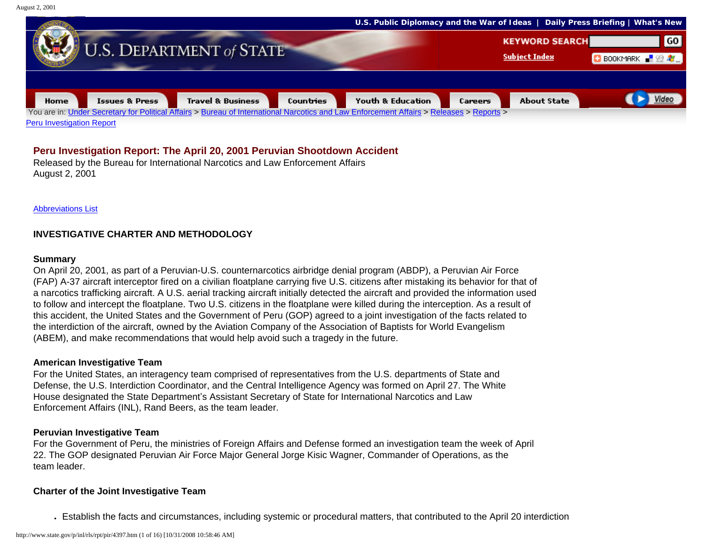August 2, 2001



## **Peru Investigation Report: The April 20, 2001 Peruvian Shootdown Accident**

Released by the Bureau for International Narcotics and Law Enforcement Affairs August 2, 2001

[Abbreviations List](#page-14-0)

## **INVESTIGATIVE CHARTER AND METHODOLOGY**

#### **Summary**

On April 20, 2001, as part of a Peruvian-U.S. counternarcotics airbridge denial program (ABDP), a Peruvian Air Force (FAP) A-37 aircraft interceptor fired on a civilian floatplane carrying five U.S. citizens after mistaking its behavior for that of a narcotics trafficking aircraft. A U.S. aerial tracking aircraft initially detected the aircraft and provided the information used to follow and intercept the floatplane. Two U.S. citizens in the floatplane were killed during the interception. As a result of this accident, the United States and the Government of Peru (GOP) agreed to a joint investigation of the facts related to the interdiction of the aircraft, owned by the Aviation Company of the Association of Baptists for World Evangelism (ABEM), and make recommendations that would help avoid such a tragedy in the future.

#### **American Investigative Team**

For the United States, an interagency team comprised of representatives from the U.S. departments of State and Defense, the U.S. Interdiction Coordinator, and the Central Intelligence Agency was formed on April 27. The White House designated the State Department's Assistant Secretary of State for International Narcotics and Law Enforcement Affairs (INL), Rand Beers, as the team leader.

#### **Peruvian Investigative Team**

For the Government of Peru, the ministries of Foreign Affairs and Defense formed an investigation team the week of April 22. The GOP designated Peruvian Air Force Major General Jorge Kisic Wagner, Commander of Operations, as the team leader.

#### **Charter of the Joint Investigative Team**

● Establish the facts and circumstances, including systemic or procedural matters, that contributed to the April 20 interdiction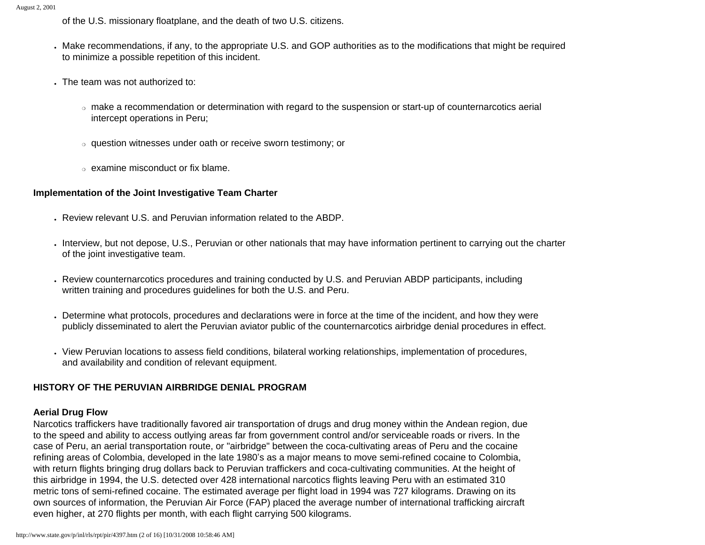of the U.S. missionary floatplane, and the death of two U.S. citizens.

- . Make recommendations, if any, to the appropriate U.S. and GOP authorities as to the modifications that might be required to minimize a possible repetition of this incident.
- . The team was not authorized to:
	- ❍ make a recommendation or determination with regard to the suspension or start-up of counternarcotics aerial intercept operations in Peru;
	- ❍ question witnesses under oath or receive sworn testimony; or
	- ❍ examine misconduct or fix blame.

# **Implementation of the Joint Investigative Team Charter**

- Review relevant U.S. and Peruvian information related to the ABDP.
- Interview, but not depose, U.S., Peruvian or other nationals that may have information pertinent to carrying out the charter of the joint investigative team.
- Review counternarcotics procedures and training conducted by U.S. and Peruvian ABDP participants, including written training and procedures guidelines for both the U.S. and Peru.
- Determine what protocols, procedures and declarations were in force at the time of the incident, and how they were publicly disseminated to alert the Peruvian aviator public of the counternarcotics airbridge denial procedures in effect.
- View Peruvian locations to assess field conditions, bilateral working relationships, implementation of procedures, and availability and condition of relevant equipment.

# **HISTORY OF THE PERUVIAN AIRBRIDGE DENIAL PROGRAM**

## **Aerial Drug Flow**

Narcotics traffickers have traditionally favored air transportation of drugs and drug money within the Andean region, due to the speed and ability to access outlying areas far from government control and/or serviceable roads or rivers. In the case of Peru, an aerial transportation route, or "airbridge" between the coca-cultivating areas of Peru and the cocaine refining areas of Colombia, developed in the late 1980's as a major means to move semi-refined cocaine to Colombia, with return flights bringing drug dollars back to Peruvian traffickers and coca-cultivating communities. At the height of this airbridge in 1994, the U.S. detected over 428 international narcotics flights leaving Peru with an estimated 310 metric tons of semi-refined cocaine. The estimated average per flight load in 1994 was 727 kilograms. Drawing on its own sources of information, the Peruvian Air Force (FAP) placed the average number of international trafficking aircraft even higher, at 270 flights per month, with each flight carrying 500 kilograms.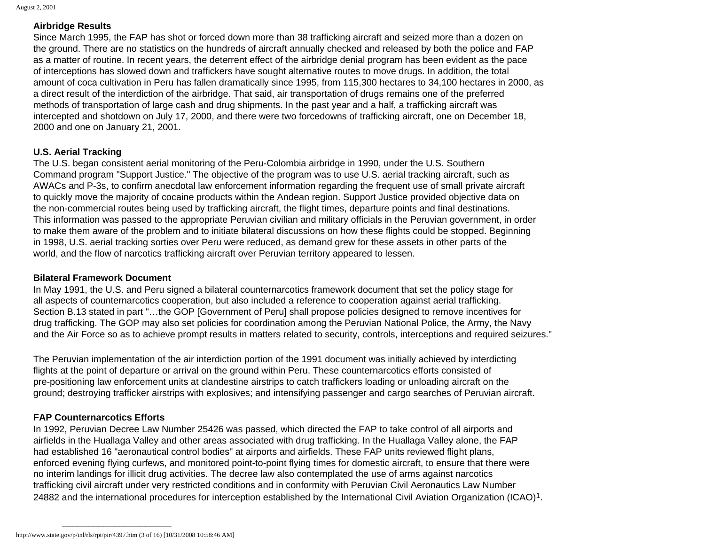#### **Airbridge Results**

Since March 1995, the FAP has shot or forced down more than 38 trafficking aircraft and seized more than a dozen on the ground. There are no statistics on the hundreds of aircraft annually checked and released by both the police and FAP as a matter of routine. In recent years, the deterrent effect of the airbridge denial program has been evident as the pace of interceptions has slowed down and traffickers have sought alternative routes to move drugs. In addition, the total amount of coca cultivation in Peru has fallen dramatically since 1995, from 115,300 hectares to 34,100 hectares in 2000, as a direct result of the interdiction of the airbridge. That said, air transportation of drugs remains one of the preferred methods of transportation of large cash and drug shipments. In the past year and a half, a trafficking aircraft was intercepted and shotdown on July 17, 2000, and there were two forcedowns of trafficking aircraft, one on December 18, 2000 and one on January 21, 2001.

#### **U.S. Aerial Tracking**

The U.S. began consistent aerial monitoring of the Peru-Colombia airbridge in 1990, under the U.S. Southern Command program "Support Justice." The objective of the program was to use U.S. aerial tracking aircraft, such as AWACs and P-3s, to confirm anecdotal law enforcement information regarding the frequent use of small private aircraft to quickly move the majority of cocaine products within the Andean region. Support Justice provided objective data on the non-commercial routes being used by trafficking aircraft, the flight times, departure points and final destinations. This information was passed to the appropriate Peruvian civilian and military officials in the Peruvian government, in order to make them aware of the problem and to initiate bilateral discussions on how these flights could be stopped. Beginning in 1998, U.S. aerial tracking sorties over Peru were reduced, as demand grew for these assets in other parts of the world, and the flow of narcotics trafficking aircraft over Peruvian territory appeared to lessen.

#### **Bilateral Framework Document**

In May 1991, the U.S. and Peru signed a bilateral counternarcotics framework document that set the policy stage for all aspects of counternarcotics cooperation, but also included a reference to cooperation against aerial trafficking. Section B.13 stated in part "…the GOP [Government of Peru] shall propose policies designed to remove incentives for drug trafficking. The GOP may also set policies for coordination among the Peruvian National Police, the Army, the Navy and the Air Force so as to achieve prompt results in matters related to security, controls, interceptions and required seizures."

The Peruvian implementation of the air interdiction portion of the 1991 document was initially achieved by interdicting flights at the point of departure or arrival on the ground within Peru. These counternarcotics efforts consisted of pre-positioning law enforcement units at clandestine airstrips to catch traffickers loading or unloading aircraft on the ground; destroying trafficker airstrips with explosives; and intensifying passenger and cargo searches of Peruvian aircraft.

## **FAP Counternarcotics Efforts**

In 1992, Peruvian Decree Law Number 25426 was passed, which directed the FAP to take control of all airports and airfields in the Huallaga Valley and other areas associated with drug trafficking. In the Huallaga Valley alone, the FAP had established 16 "aeronautical control bodies" at airports and airfields. These FAP units reviewed flight plans, enforced evening flying curfews, and monitored point-to-point flying times for domestic aircraft, to ensure that there were no interim landings for illicit drug activities. The decree law also contemplated the use of arms against narcotics trafficking civil aircraft under very restricted conditions and in conformity with Peruvian Civil Aeronautics Law Number 24882 and the international procedures for interception established by the International Civil Aviation Organization (ICAO)1.

http://www.state.gov/p/inl/rls/rpt/pir/4397.htm (3 of 16) [10/31/2008 10:58:46 AM]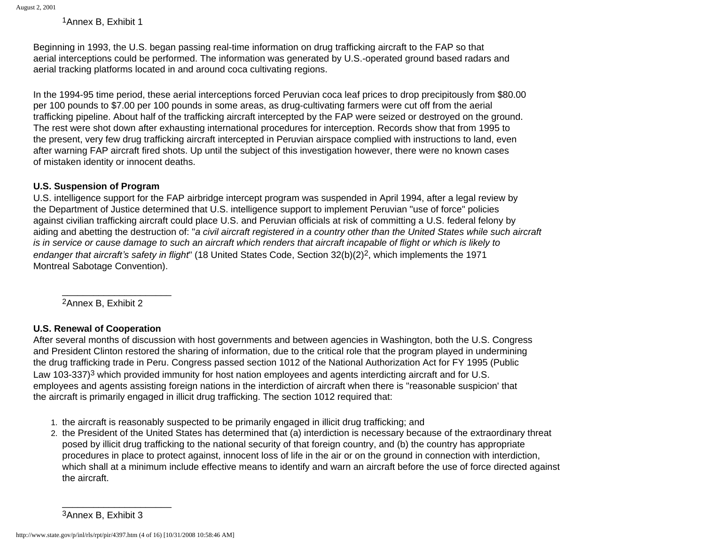1Annex B, Exhibit 1

Beginning in 1993, the U.S. began passing real-time information on drug trafficking aircraft to the FAP so that aerial interceptions could be performed. The information was generated by U.S.-operated ground based radars and aerial tracking platforms located in and around coca cultivating regions.

In the 1994-95 time period, these aerial interceptions forced Peruvian coca leaf prices to drop precipitously from \$80.00 per 100 pounds to \$7.00 per 100 pounds in some areas, as drug-cultivating farmers were cut off from the aerial trafficking pipeline. About half of the trafficking aircraft intercepted by the FAP were seized or destroyed on the ground. The rest were shot down after exhausting international procedures for interception. Records show that from 1995 to the present, very few drug trafficking aircraft intercepted in Peruvian airspace complied with instructions to land, even after warning FAP aircraft fired shots. Up until the subject of this investigation however, there were no known cases of mistaken identity or innocent deaths.

## **U.S. Suspension of Program**

U.S. intelligence support for the FAP airbridge intercept program was suspended in April 1994, after a legal review by the Department of Justice determined that U.S. intelligence support to implement Peruvian "use of force" policies against civilian trafficking aircraft could place U.S. and Peruvian officials at risk of committing a U.S. federal felony by aiding and abetting the destruction of: "*a civil aircraft registered in a country other than the United States while such aircraft is in service or cause damage to such an aircraft which renders that aircraft incapable of flight or which is likely to endanger that aircraft's safety in flight*" (18 United States Code, Section 32(b)(2)2, which implements the 1971 Montreal Sabotage Convention).

2Annex B, Exhibit 2

\_\_\_\_\_\_\_\_\_\_\_\_\_\_\_\_\_\_\_\_\_

# **U.S. Renewal of Cooperation**

After several months of discussion with host governments and between agencies in Washington, both the U.S. Congress and President Clinton restored the sharing of information, due to the critical role that the program played in undermining the drug trafficking trade in Peru. Congress passed section 1012 of the National Authorization Act for FY 1995 (Public Law 103-337)<sup>3</sup> which provided immunity for host nation employees and agents interdicting aircraft and for U.S. employees and agents assisting foreign nations in the interdiction of aircraft when there is "reasonable suspicion' that the aircraft is primarily engaged in illicit drug trafficking. The section 1012 required that:

- 1. the aircraft is reasonably suspected to be primarily engaged in illicit drug trafficking; and
- 2. the President of the United States has determined that (a) interdiction is necessary because of the extraordinary threat posed by illicit drug trafficking to the national security of that foreign country, and (b) the country has appropriate procedures in place to protect against, innocent loss of life in the air or on the ground in connection with interdiction, which shall at a minimum include effective means to identify and warn an aircraft before the use of force directed against the aircraft.

<sup>3</sup>Annex B, Exhibit 3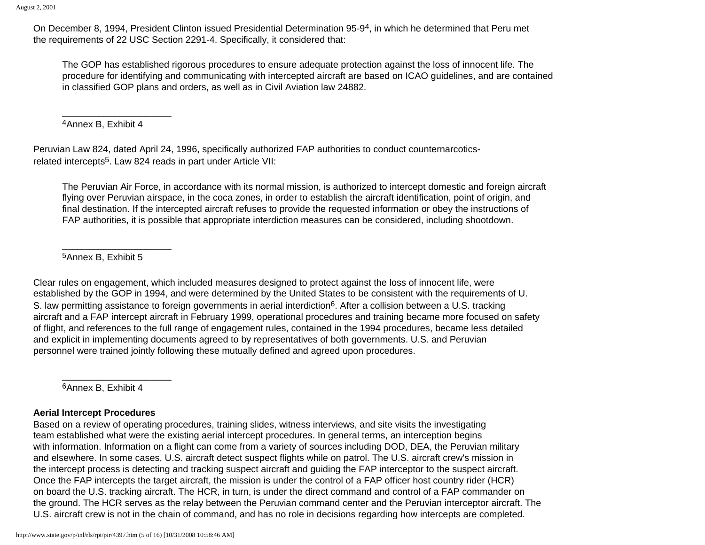On December 8, 1994, President Clinton issued Presidential Determination 95-94, in which he determined that Peru met the requirements of 22 USC Section 2291-4. Specifically, it considered that:

The GOP has established rigorous procedures to ensure adequate protection against the loss of innocent life. The procedure for identifying and communicating with intercepted aircraft are based on ICAO guidelines, and are contained in classified GOP plans and orders, as well as in Civil Aviation law 24882.

4Annex B, Exhibit 4

\_\_\_\_\_\_\_\_\_\_\_\_\_\_\_\_\_\_\_\_\_

Peruvian Law 824, dated April 24, 1996, specifically authorized FAP authorities to conduct counternarcoticsrelated intercepts5. Law 824 reads in part under Article VII:

The Peruvian Air Force, in accordance with its normal mission, is authorized to intercept domestic and foreign aircraft flying over Peruvian airspace, in the coca zones, in order to establish the aircraft identification, point of origin, and final destination. If the intercepted aircraft refuses to provide the requested information or obey the instructions of FAP authorities, it is possible that appropriate interdiction measures can be considered, including shootdown.

5Annex B, Exhibit 5

\_\_\_\_\_\_\_\_\_\_\_\_\_\_\_\_\_\_\_\_\_

Clear rules on engagement, which included measures designed to protect against the loss of innocent life, were established by the GOP in 1994, and were determined by the United States to be consistent with the requirements of U. S. law permitting assistance to foreign governments in aerial interdiction<sup>6</sup>. After a collision between a U.S. tracking aircraft and a FAP intercept aircraft in February 1999, operational procedures and training became more focused on safety of flight, and references to the full range of engagement rules, contained in the 1994 procedures, became less detailed and explicit in implementing documents agreed to by representatives of both governments. U.S. and Peruvian personnel were trained jointly following these mutually defined and agreed upon procedures.

6Annex B, Exhibit 4

\_\_\_\_\_\_\_\_\_\_\_\_\_\_\_\_\_\_\_\_\_

## **Aerial Intercept Procedures**

Based on a review of operating procedures, training slides, witness interviews, and site visits the investigating team established what were the existing aerial intercept procedures. In general terms, an interception begins with information. Information on a flight can come from a variety of sources including DOD, DEA, the Peruvian military and elsewhere. In some cases, U.S. aircraft detect suspect flights while on patrol. The U.S. aircraft crew's mission in the intercept process is detecting and tracking suspect aircraft and guiding the FAP interceptor to the suspect aircraft. Once the FAP intercepts the target aircraft, the mission is under the control of a FAP officer host country rider (HCR) on board the U.S. tracking aircraft. The HCR, in turn, is under the direct command and control of a FAP commander on the ground. The HCR serves as the relay between the Peruvian command center and the Peruvian interceptor aircraft. The U.S. aircraft crew is not in the chain of command, and has no role in decisions regarding how intercepts are completed.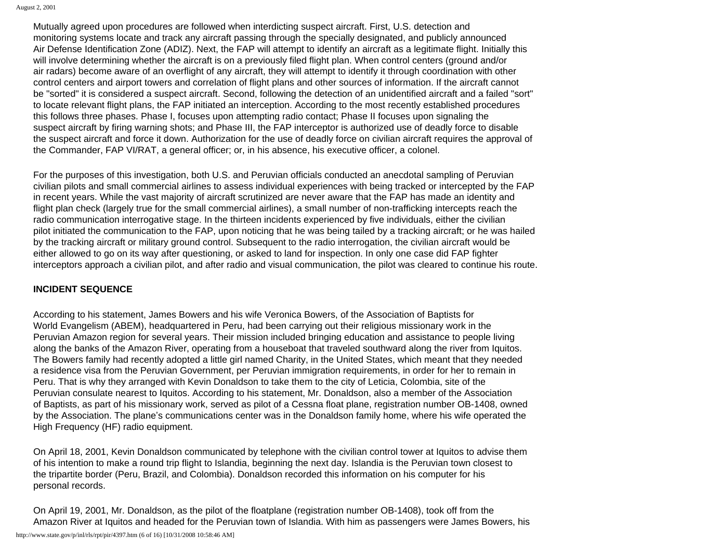Mutually agreed upon procedures are followed when interdicting suspect aircraft. First, U.S. detection and monitoring systems locate and track any aircraft passing through the specially designated, and publicly announced Air Defense Identification Zone (ADIZ). Next, the FAP will attempt to identify an aircraft as a legitimate flight. Initially this will involve determining whether the aircraft is on a previously filed flight plan. When control centers (ground and/or air radars) become aware of an overflight of any aircraft, they will attempt to identify it through coordination with other control centers and airport towers and correlation of flight plans and other sources of information. If the aircraft cannot be "sorted" it is considered a suspect aircraft. Second, following the detection of an unidentified aircraft and a failed "sort" to locate relevant flight plans, the FAP initiated an interception. According to the most recently established procedures this follows three phases. Phase I, focuses upon attempting radio contact; Phase II focuses upon signaling the suspect aircraft by firing warning shots; and Phase III, the FAP interceptor is authorized use of deadly force to disable the suspect aircraft and force it down. Authorization for the use of deadly force on civilian aircraft requires the approval of the Commander, FAP VI/RAT, a general officer; or, in his absence, his executive officer, a colonel.

For the purposes of this investigation, both U.S. and Peruvian officials conducted an anecdotal sampling of Peruvian civilian pilots and small commercial airlines to assess individual experiences with being tracked or intercepted by the FAP in recent years. While the vast majority of aircraft scrutinized are never aware that the FAP has made an identity and flight plan check (largely true for the small commercial airlines), a small number of non-trafficking intercepts reach the radio communication interrogative stage. In the thirteen incidents experienced by five individuals, either the civilian pilot initiated the communication to the FAP, upon noticing that he was being tailed by a tracking aircraft; or he was hailed by the tracking aircraft or military ground control. Subsequent to the radio interrogation, the civilian aircraft would be either allowed to go on its way after questioning, or asked to land for inspection. In only one case did FAP fighter interceptors approach a civilian pilot, and after radio and visual communication, the pilot was cleared to continue his route.

## **INCIDENT SEQUENCE**

According to his statement, James Bowers and his wife Veronica Bowers, of the Association of Baptists for World Evangelism (ABEM), headquartered in Peru, had been carrying out their religious missionary work in the Peruvian Amazon region for several years. Their mission included bringing education and assistance to people living along the banks of the Amazon River, operating from a houseboat that traveled southward along the river from Iquitos. The Bowers family had recently adopted a little girl named Charity, in the United States, which meant that they needed a residence visa from the Peruvian Government, per Peruvian immigration requirements, in order for her to remain in Peru. That is why they arranged with Kevin Donaldson to take them to the city of Leticia, Colombia, site of the Peruvian consulate nearest to Iquitos. According to his statement, Mr. Donaldson, also a member of the Association of Baptists, as part of his missionary work, served as pilot of a Cessna float plane, registration number OB-1408, owned by the Association. The plane's communications center was in the Donaldson family home, where his wife operated the High Frequency (HF) radio equipment.

On April 18, 2001, Kevin Donaldson communicated by telephone with the civilian control tower at Iquitos to advise them of his intention to make a round trip flight to Islandia, beginning the next day. Islandia is the Peruvian town closest to the tripartite border (Peru, Brazil, and Colombia). Donaldson recorded this information on his computer for his personal records.

On April 19, 2001, Mr. Donaldson, as the pilot of the floatplane (registration number OB-1408), took off from the Amazon River at Iquitos and headed for the Peruvian town of Islandia. With him as passengers were James Bowers, his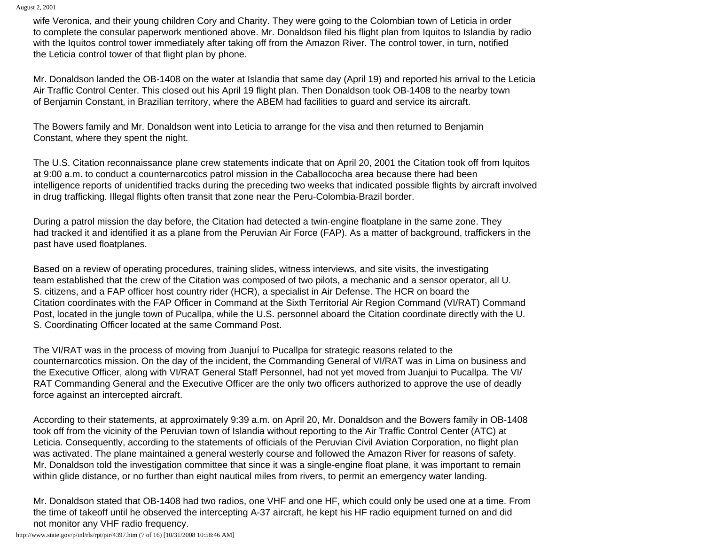August 2, 2001

wife Veronica, and their young children Cory and Charity. They were going to the Colombian town of Leticia in order to complete the consular paperwork mentioned above. Mr. Donaldson filed his flight plan from Iquitos to Islandia by radio with the Iquitos control tower immediately after taking off from the Amazon River. The control tower, in turn, notified the Leticia control tower of that flight plan by phone.

Mr. Donaldson landed the OB-1408 on the water at Islandia that same day (April 19) and reported his arrival to the Leticia Air Traffic Control Center. This closed out his April 19 flight plan. Then Donaldson took OB-1408 to the nearby town of Benjamin Constant, in Brazilian territory, where the ABEM had facilities to guard and service its aircraft.

The Bowers family and Mr. Donaldson went into Leticia to arrange for the visa and then returned to Benjamin Constant, where they spent the night.

The U.S. Citation reconnaissance plane crew statements indicate that on April 20, 2001 the Citation took off from Iquitos at 9:00 a.m. to conduct a counternarcotics patrol mission in the Caballococha area because there had been intelligence reports of unidentified tracks during the preceding two weeks that indicated possible flights by aircraft involved in drug trafficking. Illegal flights often transit that zone near the Peru-Colombia-Brazil border.

During a patrol mission the day before, the Citation had detected a twin-engine floatplane in the same zone. They had tracked it and identified it as a plane from the Peruvian Air Force (FAP). As a matter of background, traffickers in the past have used floatplanes.

Based on a review of operating procedures, training slides, witness interviews, and site visits, the investigating team established that the crew of the Citation was composed of two pilots, a mechanic and a sensor operator, all U. S. citizens, and a FAP officer host country rider (HCR), a specialist in Air Defense. The HCR on board the Citation coordinates with the FAP Officer in Command at the Sixth Territorial Air Region Command (VI/RAT) Command Post, located in the jungle town of Pucallpa, while the U.S. personnel aboard the Citation coordinate directly with the U. S. Coordinating Officer located at the same Command Post.

The VI/RAT was in the process of moving from Juanjuí to Pucallpa for strategic reasons related to the counternarcotics mission. On the day of the incident, the Commanding General of VI/RAT was in Lima on business and the Executive Officer, along with VI/RAT General Staff Personnel, had not yet moved from Juanjui to Pucallpa. The VI/ RAT Commanding General and the Executive Officer are the only two officers authorized to approve the use of deadly force against an intercepted aircraft.

According to their statements, at approximately 9:39 a.m. on April 20, Mr. Donaldson and the Bowers family in OB-1408 took off from the vicinity of the Peruvian town of Islandia without reporting to the Air Traffic Control Center (ATC) at Leticia. Consequently, according to the statements of officials of the Peruvian Civil Aviation Corporation, no flight plan was activated. The plane maintained a general westerly course and followed the Amazon River for reasons of safety. Mr. Donaldson told the investigation committee that since it was a single-engine float plane, it was important to remain within glide distance, or no further than eight nautical miles from rivers, to permit an emergency water landing.

Mr. Donaldson stated that OB-1408 had two radios, one VHF and one HF, which could only be used one at a time. From the time of takeoff until he observed the intercepting A-37 aircraft, he kept his HF radio equipment turned on and did not monitor any VHF radio frequency.

http://www.state.gov/p/inl/rls/rpt/pir/4397.htm (7 of 16) [10/31/2008 10:58:46 AM]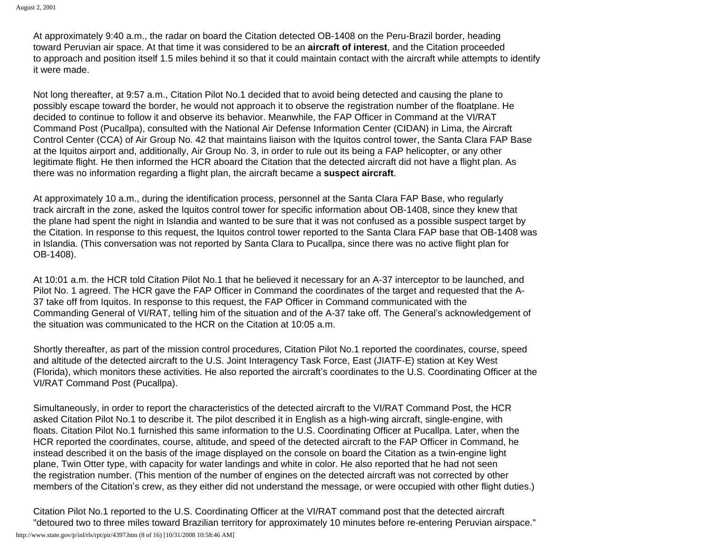At approximately 9:40 a.m., the radar on board the Citation detected OB-1408 on the Peru-Brazil border, heading toward Peruvian air space. At that time it was considered to be an **aircraft of interest**, and the Citation proceeded to approach and position itself 1.5 miles behind it so that it could maintain contact with the aircraft while attempts to identify it were made.

Not long thereafter, at 9:57 a.m., Citation Pilot No.1 decided that to avoid being detected and causing the plane to possibly escape toward the border, he would not approach it to observe the registration number of the floatplane. He decided to continue to follow it and observe its behavior. Meanwhile, the FAP Officer in Command at the VI/RAT Command Post (Pucallpa), consulted with the National Air Defense Information Center (CIDAN) in Lima, the Aircraft Control Center (CCA) of Air Group No. 42 that maintains liaison with the Iquitos control tower, the Santa Clara FAP Base at the Iquitos airport and, additionally, Air Group No. 3, in order to rule out its being a FAP helicopter, or any other legitimate flight. He then informed the HCR aboard the Citation that the detected aircraft did not have a flight plan. As there was no information regarding a flight plan, the aircraft became a **suspect aircraft**.

At approximately 10 a.m., during the identification process, personnel at the Santa Clara FAP Base, who regularly track aircraft in the zone, asked the Iquitos control tower for specific information about OB-1408, since they knew that the plane had spent the night in Islandia and wanted to be sure that it was not confused as a possible suspect target by the Citation. In response to this request, the Iquitos control tower reported to the Santa Clara FAP base that OB-1408 was in Islandia. (This conversation was not reported by Santa Clara to Pucallpa, since there was no active flight plan for OB-1408).

At 10:01 a.m. the HCR told Citation Pilot No.1 that he believed it necessary for an A-37 interceptor to be launched, and Pilot No. 1 agreed. The HCR gave the FAP Officer in Command the coordinates of the target and requested that the A-37 take off from Iquitos. In response to this request, the FAP Officer in Command communicated with the Commanding General of VI/RAT, telling him of the situation and of the A-37 take off. The General's acknowledgement of the situation was communicated to the HCR on the Citation at 10:05 a.m.

Shortly thereafter, as part of the mission control procedures, Citation Pilot No.1 reported the coordinates, course, speed and altitude of the detected aircraft to the U.S. Joint Interagency Task Force, East (JIATF-E) station at Key West (Florida), which monitors these activities. He also reported the aircraft's coordinates to the U.S. Coordinating Officer at the VI/RAT Command Post (Pucallpa).

Simultaneously, in order to report the characteristics of the detected aircraft to the VI/RAT Command Post, the HCR asked Citation Pilot No.1 to describe it. The pilot described it in English as a high-wing aircraft, single-engine, with floats. Citation Pilot No.1 furnished this same information to the U.S. Coordinating Officer at Pucallpa. Later, when the HCR reported the coordinates, course, altitude, and speed of the detected aircraft to the FAP Officer in Command, he instead described it on the basis of the image displayed on the console on board the Citation as a twin-engine light plane, Twin Otter type, with capacity for water landings and white in color. He also reported that he had not seen the registration number. (This mention of the number of engines on the detected aircraft was not corrected by other members of the Citation's crew, as they either did not understand the message, or were occupied with other flight duties.)

Citation Pilot No.1 reported to the U.S. Coordinating Officer at the VI/RAT command post that the detected aircraft "detoured two to three miles toward Brazilian territory for approximately 10 minutes before re-entering Peruvian airspace."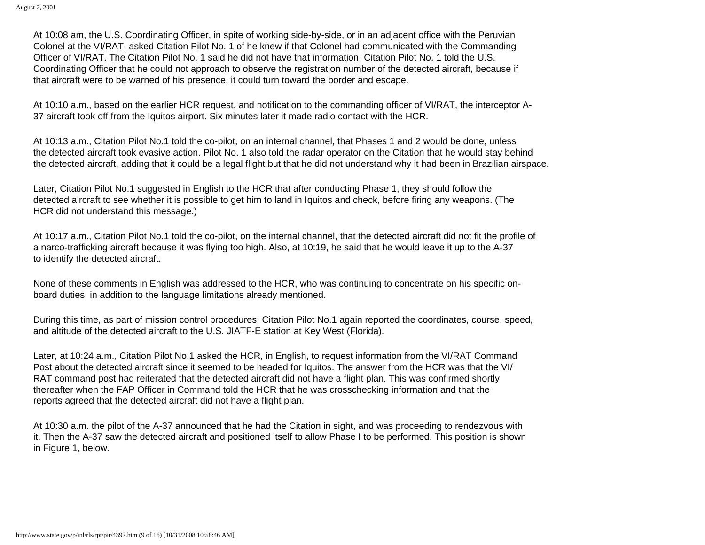At 10:08 am, the U.S. Coordinating Officer, in spite of working side-by-side, or in an adjacent office with the Peruvian Colonel at the VI/RAT, asked Citation Pilot No. 1 of he knew if that Colonel had communicated with the Commanding Officer of VI/RAT. The Citation Pilot No. 1 said he did not have that information. Citation Pilot No. 1 told the U.S. Coordinating Officer that he could not approach to observe the registration number of the detected aircraft, because if that aircraft were to be warned of his presence, it could turn toward the border and escape.

At 10:10 a.m., based on the earlier HCR request, and notification to the commanding officer of VI/RAT, the interceptor A-37 aircraft took off from the Iquitos airport. Six minutes later it made radio contact with the HCR.

At 10:13 a.m., Citation Pilot No.1 told the co-pilot, on an internal channel, that Phases 1 and 2 would be done, unless the detected aircraft took evasive action. Pilot No. 1 also told the radar operator on the Citation that he would stay behind the detected aircraft, adding that it could be a legal flight but that he did not understand why it had been in Brazilian airspace.

Later, Citation Pilot No.1 suggested in English to the HCR that after conducting Phase 1, they should follow the detected aircraft to see whether it is possible to get him to land in Iquitos and check, before firing any weapons. (The HCR did not understand this message.)

At 10:17 a.m., Citation Pilot No.1 told the co-pilot, on the internal channel, that the detected aircraft did not fit the profile of a narco-trafficking aircraft because it was flying too high. Also, at 10:19, he said that he would leave it up to the A-37 to identify the detected aircraft.

None of these comments in English was addressed to the HCR, who was continuing to concentrate on his specific onboard duties, in addition to the language limitations already mentioned.

During this time, as part of mission control procedures, Citation Pilot No.1 again reported the coordinates, course, speed, and altitude of the detected aircraft to the U.S. JIATF-E station at Key West (Florida).

Later, at 10:24 a.m., Citation Pilot No.1 asked the HCR, in English, to request information from the VI/RAT Command Post about the detected aircraft since it seemed to be headed for Iquitos. The answer from the HCR was that the VI/ RAT command post had reiterated that the detected aircraft did not have a flight plan. This was confirmed shortly thereafter when the FAP Officer in Command told the HCR that he was crosschecking information and that the reports agreed that the detected aircraft did not have a flight plan.

At 10:30 a.m. the pilot of the A-37 announced that he had the Citation in sight, and was proceeding to rendezvous with it. Then the A-37 saw the detected aircraft and positioned itself to allow Phase I to be performed. This position is shown in Figure 1, below.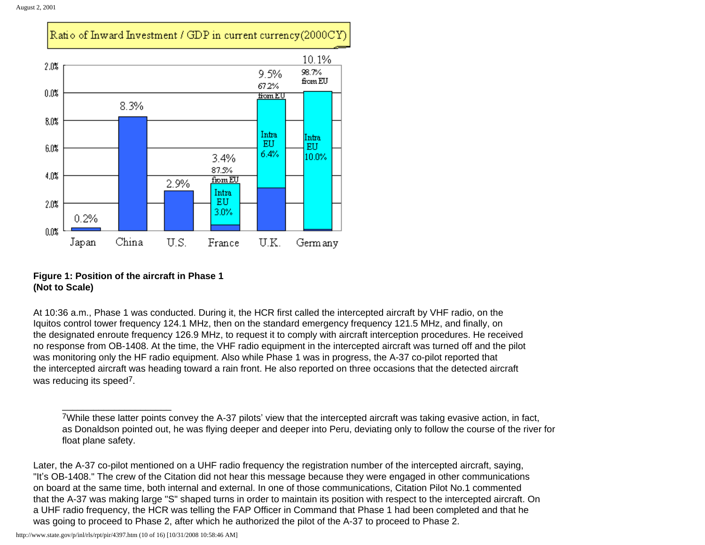

## **Figure 1: Position of the aircraft in Phase 1 (Not to Scale)**

\_\_\_\_\_\_\_\_\_\_\_\_\_\_\_\_\_\_\_\_\_

At 10:36 a.m., Phase 1 was conducted. During it, the HCR first called the intercepted aircraft by VHF radio, on the Iquitos control tower frequency 124.1 MHz, then on the standard emergency frequency 121.5 MHz, and finally, on the designated enroute frequency 126.9 MHz, to request it to comply with aircraft interception procedures. He received no response from OB-1408. At the time, the VHF radio equipment in the intercepted aircraft was turned off and the pilot was monitoring only the HF radio equipment. Also while Phase 1 was in progress, the A-37 co-pilot reported that the intercepted aircraft was heading toward a rain front. He also reported on three occasions that the detected aircraft was reducing its speed<sup>7</sup>.

http://www.state.gov/p/inl/rls/rpt/pir/4397.htm (10 of 16) [10/31/2008 10:58:46 AM]

<sup>7</sup>While these latter points convey the A-37 pilots' view that the intercepted aircraft was taking evasive action, in fact, as Donaldson pointed out, he was flying deeper and deeper into Peru, deviating only to follow the course of the river for float plane safety.

Later, the A-37 co-pilot mentioned on a UHF radio frequency the registration number of the intercepted aircraft, saying, "It's OB-1408." The crew of the Citation did not hear this message because they were engaged in other communications on board at the same time, both internal and external. In one of those communications, Citation Pilot No.1 commented that the A-37 was making large "S" shaped turns in order to maintain its position with respect to the intercepted aircraft. On a UHF radio frequency, the HCR was telling the FAP Officer in Command that Phase 1 had been completed and that he was going to proceed to Phase 2, after which he authorized the pilot of the A-37 to proceed to Phase 2.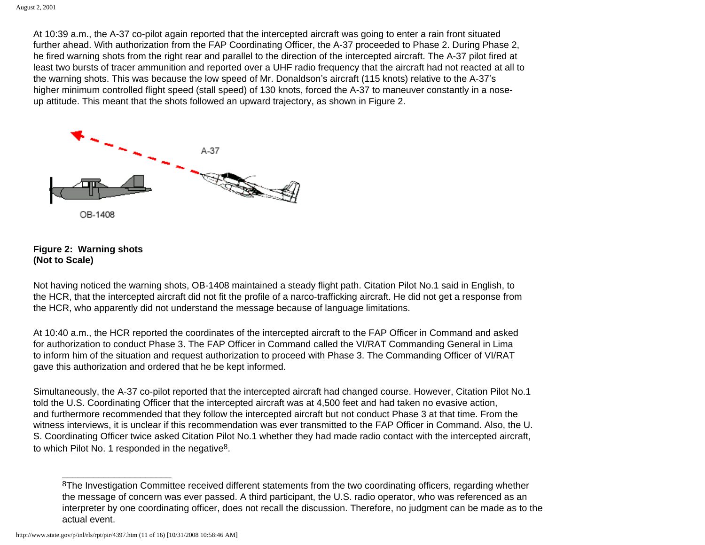At 10:39 a.m., the A-37 co-pilot again reported that the intercepted aircraft was going to enter a rain front situated further ahead. With authorization from the FAP Coordinating Officer, the A-37 proceeded to Phase 2. During Phase 2, he fired warning shots from the right rear and parallel to the direction of the intercepted aircraft. The A-37 pilot fired at least two bursts of tracer ammunition and reported over a UHF radio frequency that the aircraft had not reacted at all to the warning shots. This was because the low speed of Mr. Donaldson's aircraft (115 knots) relative to the A-37's higher minimum controlled flight speed (stall speed) of 130 knots, forced the A-37 to maneuver constantly in a noseup attitude. This meant that the shots followed an upward trajectory, as shown in Figure 2.



#### **Figure 2: Warning shots (Not to Scale)**

Not having noticed the warning shots, OB-1408 maintained a steady flight path. Citation Pilot No.1 said in English, to the HCR, that the intercepted aircraft did not fit the profile of a narco-trafficking aircraft. He did not get a response from the HCR, who apparently did not understand the message because of language limitations.

At 10:40 a.m., the HCR reported the coordinates of the intercepted aircraft to the FAP Officer in Command and asked for authorization to conduct Phase 3. The FAP Officer in Command called the VI/RAT Commanding General in Lima to inform him of the situation and request authorization to proceed with Phase 3. The Commanding Officer of VI/RAT gave this authorization and ordered that he be kept informed.

Simultaneously, the A-37 co-pilot reported that the intercepted aircraft had changed course. However, Citation Pilot No.1 told the U.S. Coordinating Officer that the intercepted aircraft was at 4,500 feet and had taken no evasive action, and furthermore recommended that they follow the intercepted aircraft but not conduct Phase 3 at that time. From the witness interviews, it is unclear if this recommendation was ever transmitted to the FAP Officer in Command. Also, the U. S. Coordinating Officer twice asked Citation Pilot No.1 whether they had made radio contact with the intercepted aircraft, to which Pilot No. 1 responded in the negative8.

<sup>&</sup>lt;sup>8</sup>The Investigation Committee received different statements from the two coordinating officers, regarding whether the message of concern was ever passed. A third participant, the U.S. radio operator, who was referenced as an interpreter by one coordinating officer, does not recall the discussion. Therefore, no judgment can be made as to the actual event.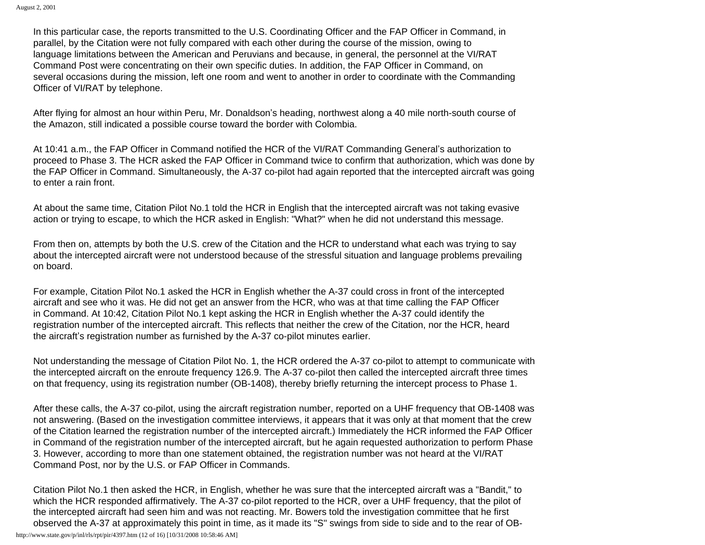In this particular case, the reports transmitted to the U.S. Coordinating Officer and the FAP Officer in Command, in parallel, by the Citation were not fully compared with each other during the course of the mission, owing to language limitations between the American and Peruvians and because, in general, the personnel at the VI/RAT Command Post were concentrating on their own specific duties. In addition, the FAP Officer in Command, on several occasions during the mission, left one room and went to another in order to coordinate with the Commanding Officer of VI/RAT by telephone.

After flying for almost an hour within Peru, Mr. Donaldson's heading, northwest along a 40 mile north-south course of the Amazon, still indicated a possible course toward the border with Colombia.

At 10:41 a.m., the FAP Officer in Command notified the HCR of the VI/RAT Commanding General's authorization to proceed to Phase 3. The HCR asked the FAP Officer in Command twice to confirm that authorization, which was done by the FAP Officer in Command. Simultaneously, the A-37 co-pilot had again reported that the intercepted aircraft was going to enter a rain front.

At about the same time, Citation Pilot No.1 told the HCR in English that the intercepted aircraft was not taking evasive action or trying to escape, to which the HCR asked in English: "What?" when he did not understand this message.

From then on, attempts by both the U.S. crew of the Citation and the HCR to understand what each was trying to say about the intercepted aircraft were not understood because of the stressful situation and language problems prevailing on board.

For example, Citation Pilot No.1 asked the HCR in English whether the A-37 could cross in front of the intercepted aircraft and see who it was. He did not get an answer from the HCR, who was at that time calling the FAP Officer in Command. At 10:42, Citation Pilot No.1 kept asking the HCR in English whether the A-37 could identify the registration number of the intercepted aircraft. This reflects that neither the crew of the Citation, nor the HCR, heard the aircraft's registration number as furnished by the A-37 co-pilot minutes earlier.

Not understanding the message of Citation Pilot No. 1, the HCR ordered the A-37 co-pilot to attempt to communicate with the intercepted aircraft on the enroute frequency 126.9. The A-37 co-pilot then called the intercepted aircraft three times on that frequency, using its registration number (OB-1408), thereby briefly returning the intercept process to Phase 1.

After these calls, the A-37 co-pilot, using the aircraft registration number, reported on a UHF frequency that OB-1408 was not answering. (Based on the investigation committee interviews, it appears that it was only at that moment that the crew of the Citation learned the registration number of the intercepted aircraft.) Immediately the HCR informed the FAP Officer in Command of the registration number of the intercepted aircraft, but he again requested authorization to perform Phase 3. However, according to more than one statement obtained, the registration number was not heard at the VI/RAT Command Post, nor by the U.S. or FAP Officer in Commands.

Citation Pilot No.1 then asked the HCR, in English, whether he was sure that the intercepted aircraft was a "Bandit," to which the HCR responded affirmatively. The A-37 co-pilot reported to the HCR, over a UHF frequency, that the pilot of the intercepted aircraft had seen him and was not reacting. Mr. Bowers told the investigation committee that he first observed the A-37 at approximately this point in time, as it made its "S" swings from side to side and to the rear of OBhttp://www.state.gov/p/inl/rls/rpt/pir/4397.htm (12 of 16) [10/31/2008 10:58:46 AM]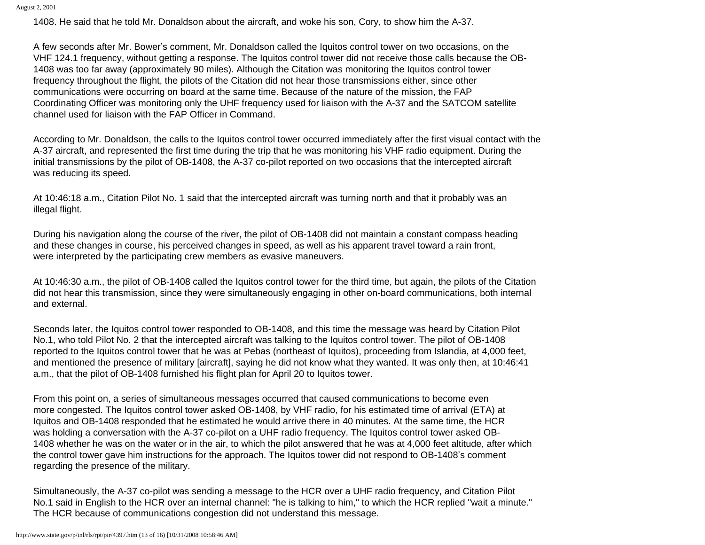August 2, 2001

1408. He said that he told Mr. Donaldson about the aircraft, and woke his son, Cory, to show him the A-37.

A few seconds after Mr. Bower's comment, Mr. Donaldson called the Iquitos control tower on two occasions, on the VHF 124.1 frequency, without getting a response. The Iquitos control tower did not receive those calls because the OB-1408 was too far away (approximately 90 miles). Although the Citation was monitoring the Iquitos control tower frequency throughout the flight, the pilots of the Citation did not hear those transmissions either, since other communications were occurring on board at the same time. Because of the nature of the mission, the FAP Coordinating Officer was monitoring only the UHF frequency used for liaison with the A-37 and the SATCOM satellite channel used for liaison with the FAP Officer in Command.

According to Mr. Donaldson, the calls to the Iquitos control tower occurred immediately after the first visual contact with the A-37 aircraft, and represented the first time during the trip that he was monitoring his VHF radio equipment. During the initial transmissions by the pilot of OB-1408, the A-37 co-pilot reported on two occasions that the intercepted aircraft was reducing its speed.

At 10:46:18 a.m., Citation Pilot No. 1 said that the intercepted aircraft was turning north and that it probably was an illegal flight.

During his navigation along the course of the river, the pilot of OB-1408 did not maintain a constant compass heading and these changes in course, his perceived changes in speed, as well as his apparent travel toward a rain front, were interpreted by the participating crew members as evasive maneuvers.

At 10:46:30 a.m., the pilot of OB-1408 called the Iquitos control tower for the third time, but again, the pilots of the Citation did not hear this transmission, since they were simultaneously engaging in other on-board communications, both internal and external.

Seconds later, the Iquitos control tower responded to OB-1408, and this time the message was heard by Citation Pilot No.1, who told Pilot No. 2 that the intercepted aircraft was talking to the Iquitos control tower. The pilot of OB-1408 reported to the Iquitos control tower that he was at Pebas (northeast of Iquitos), proceeding from Islandia, at 4,000 feet, and mentioned the presence of military [aircraft], saying he did not know what they wanted. It was only then, at 10:46:41 a.m., that the pilot of OB-1408 furnished his flight plan for April 20 to Iquitos tower.

From this point on, a series of simultaneous messages occurred that caused communications to become even more congested. The Iquitos control tower asked OB-1408, by VHF radio, for his estimated time of arrival (ETA) at Iquitos and OB-1408 responded that he estimated he would arrive there in 40 minutes. At the same time, the HCR was holding a conversation with the A-37 co-pilot on a UHF radio frequency. The Iquitos control tower asked OB-1408 whether he was on the water or in the air, to which the pilot answered that he was at 4,000 feet altitude, after which the control tower gave him instructions for the approach. The Iquitos tower did not respond to OB-1408's comment regarding the presence of the military.

Simultaneously, the A-37 co-pilot was sending a message to the HCR over a UHF radio frequency, and Citation Pilot No.1 said in English to the HCR over an internal channel: "he is talking to him," to which the HCR replied "wait a minute." The HCR because of communications congestion did not understand this message.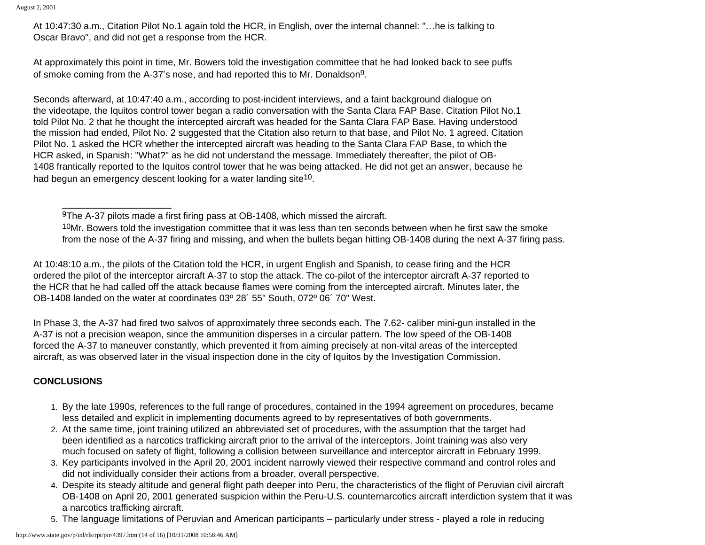At 10:47:30 a.m., Citation Pilot No.1 again told the HCR, in English, over the internal channel: "…he is talking to Oscar Bravo", and did not get a response from the HCR.

At approximately this point in time, Mr. Bowers told the investigation committee that he had looked back to see puffs of smoke coming from the A-37's nose, and had reported this to Mr. Donaldson9.

Seconds afterward, at 10:47:40 a.m., according to post-incident interviews, and a faint background dialogue on the videotape, the Iquitos control tower began a radio conversation with the Santa Clara FAP Base. Citation Pilot No.1 told Pilot No. 2 that he thought the intercepted aircraft was headed for the Santa Clara FAP Base. Having understood the mission had ended, Pilot No. 2 suggested that the Citation also return to that base, and Pilot No. 1 agreed. Citation Pilot No. 1 asked the HCR whether the intercepted aircraft was heading to the Santa Clara FAP Base, to which the HCR asked, in Spanish: "What?" as he did not understand the message. Immediately thereafter, the pilot of OB-1408 frantically reported to the Iquitos control tower that he was being attacked. He did not get an answer, because he had begun an emergency descent looking for a water landing site<sup>10</sup>.

<sup>10</sup>Mr. Bowers told the investigation committee that it was less than ten seconds between when he first saw the smoke from the nose of the A-37 firing and missing, and when the bullets began hitting OB-1408 during the next A-37 firing pass.

At 10:48:10 a.m., the pilots of the Citation told the HCR, in urgent English and Spanish, to cease firing and the HCR ordered the pilot of the interceptor aircraft A-37 to stop the attack. The co-pilot of the interceptor aircraft A-37 reported to the HCR that he had called off the attack because flames were coming from the intercepted aircraft. Minutes later, the OB-1408 landed on the water at coordinates 03º 28´ 55" South, 072º 06´ 70" West.

In Phase 3, the A-37 had fired two salvos of approximately three seconds each. The 7.62- caliber mini-gun installed in the A-37 is not a precision weapon, since the ammunition disperses in a circular pattern. The low speed of the OB-1408 forced the A-37 to maneuver constantly, which prevented it from aiming precisely at non-vital areas of the intercepted aircraft, as was observed later in the visual inspection done in the city of Iquitos by the Investigation Commission.

# **CONCLUSIONS**

- 1. By the late 1990s, references to the full range of procedures, contained in the 1994 agreement on procedures, became less detailed and explicit in implementing documents agreed to by representatives of both governments.
- 2. At the same time, joint training utilized an abbreviated set of procedures, with the assumption that the target had been identified as a narcotics trafficking aircraft prior to the arrival of the interceptors. Joint training was also very much focused on safety of flight, following a collision between surveillance and interceptor aircraft in February 1999.
- 3. Key participants involved in the April 20, 2001 incident narrowly viewed their respective command and control roles and did not individually consider their actions from a broader, overall perspective.
- 4. Despite its steady altitude and general flight path deeper into Peru, the characteristics of the flight of Peruvian civil aircraft OB-1408 on April 20, 2001 generated suspicion within the Peru-U.S. counternarcotics aircraft interdiction system that it was a narcotics trafficking aircraft.
- 5. The language limitations of Peruvian and American participants particularly under stress played a role in reducing

<sup>9</sup>The A-37 pilots made a first firing pass at OB-1408, which missed the aircraft.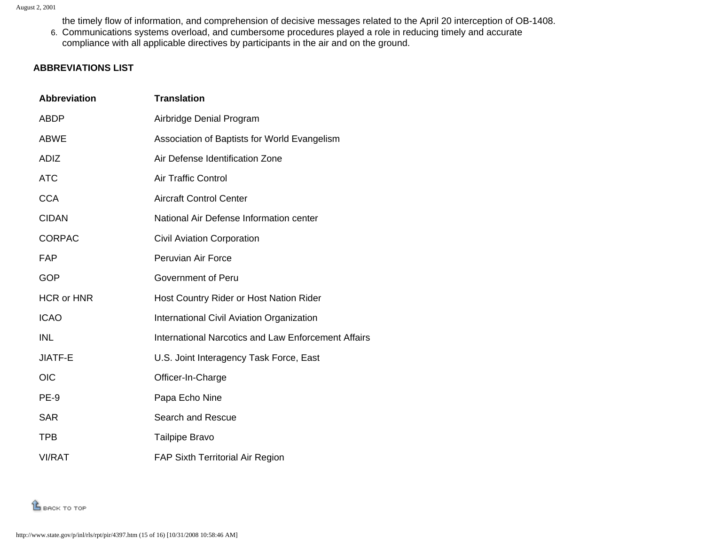the timely flow of information, and comprehension of decisive messages related to the April 20 interception of OB-1408.

6. Communications systems overload, and cumbersome procedures played a role in reducing timely and accurate compliance with all applicable directives by participants in the air and on the ground.

## <span id="page-14-0"></span>**ABBREVIATIONS LIST**

| <b>Abbreviation</b> | <b>Translation</b>                                  |
|---------------------|-----------------------------------------------------|
| <b>ABDP</b>         | Airbridge Denial Program                            |
| <b>ABWE</b>         | Association of Baptists for World Evangelism        |
| <b>ADIZ</b>         | Air Defense Identification Zone                     |
| <b>ATC</b>          | <b>Air Traffic Control</b>                          |
| <b>CCA</b>          | <b>Aircraft Control Center</b>                      |
| <b>CIDAN</b>        | National Air Defense Information center             |
| <b>CORPAC</b>       | <b>Civil Aviation Corporation</b>                   |
| <b>FAP</b>          | Peruvian Air Force                                  |
| <b>GOP</b>          | Government of Peru                                  |
| <b>HCR or HNR</b>   | Host Country Rider or Host Nation Rider             |
| <b>ICAO</b>         | International Civil Aviation Organization           |
| <b>INL</b>          | International Narcotics and Law Enforcement Affairs |
| JIATF-E             | U.S. Joint Interagency Task Force, East             |
| <b>OIC</b>          | Officer-In-Charge                                   |
| PE-9                | Papa Echo Nine                                      |
| <b>SAR</b>          | Search and Rescue                                   |
| <b>TPB</b>          | Tailpipe Bravo                                      |
| <b>VI/RAT</b>       | <b>FAP Sixth Territorial Air Region</b>             |

**LE BACK TO TOP**